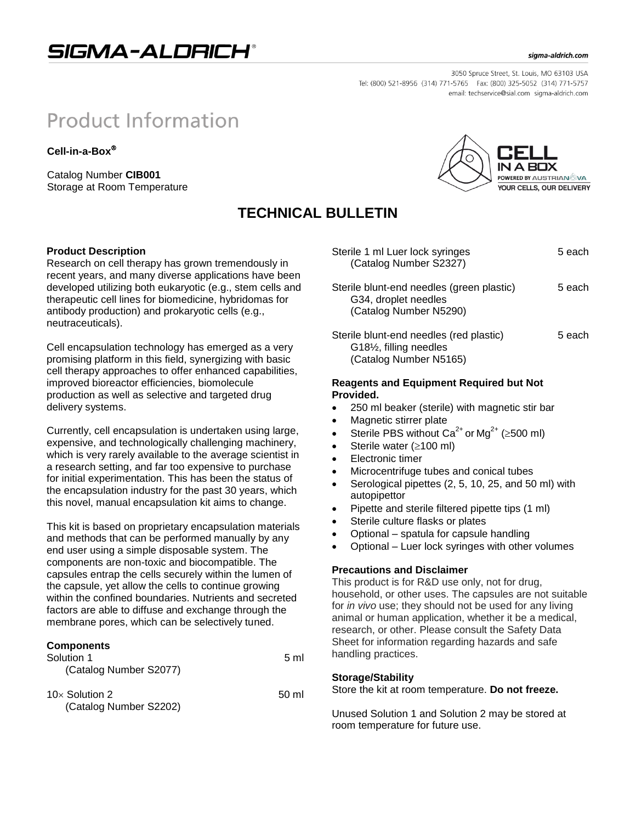# SIGMA-ALDRICH®

#### sigma-aldrich.com

**POWERED BY AUSTRIAN VA YOUR CELLS, OUR DELIVERY** 

3050 Spruce Street, St. Louis, MO 63103 USA Tel: (800) 521-8956 (314) 771-5765 Fax: (800) 325-5052 (314) 771-5757 email: techservice@sial.com sigma-aldrich.com

# **Product Information**

**Cell-in-a-Box**

Catalog Number **CIB001** Storage at Room Temperature

## **TECHNICAL BULLETIN**

#### **Product Description**

Research on cell therapy has grown tremendously in recent years, and many diverse applications have been developed utilizing both eukaryotic (e.g., stem cells and therapeutic cell lines for biomedicine, hybridomas for antibody production) and prokaryotic cells (e.g., neutraceuticals).

Cell encapsulation technology has emerged as a very promising platform in this field, synergizing with basic cell therapy approaches to offer enhanced capabilities, improved bioreactor efficiencies, biomolecule production as well as selective and targeted drug delivery systems.

Currently, cell encapsulation is undertaken using large, expensive, and technologically challenging machinery, which is very rarely available to the average scientist in a research setting, and far too expensive to purchase for initial experimentation. This has been the status of the encapsulation industry for the past 30 years, which this novel, manual encapsulation kit aims to change.

This kit is based on proprietary encapsulation materials and methods that can be performed manually by any end user using a simple disposable system. The components are non-toxic and biocompatible. The capsules entrap the cells securely within the lumen of the capsule, yet allow the cells to continue growing within the confined boundaries. Nutrients and secreted factors are able to diffuse and exchange through the membrane pores, which can be selectively tuned.

#### **Components**

| Solution 1<br>(Catalog Number S2077)             | $5 \mathrm{m}$  |  |
|--------------------------------------------------|-----------------|--|
| 10 $\times$ Solution 2<br>(Catalog Number S2202) | $50 \mathrm{m}$ |  |

| Sterile 1 ml Luer lock syringes<br>(Catalog Number S2327)                                   | 5 each |
|---------------------------------------------------------------------------------------------|--------|
| Sterile blunt-end needles (green plastic)<br>G34, droplet needles<br>(Catalog Number N5290) | 5 each |
| Sterile blunt-end needles (red plastic)<br>G181/ <sub>2</sub> , filling needles             | 5 each |

### **Reagents and Equipment Required but Not Provided.**

- 250 ml beaker (sterile) with magnetic stir bar
- Magnetic stirrer plate

(Catalog Number N5165)

- Sterile PBS without  $Ca^{2+}$  or Mg<sup>2+</sup> ( $\geq$ 500 ml)
- Sterile water  $( \geq 100 \text{ ml})$
- Electronic timer
- Microcentrifuge tubes and conical tubes
- Serological pipettes (2, 5, 10, 25, and 50 ml) with autopipettor
- Pipette and sterile filtered pipette tips (1 ml)
- Sterile culture flasks or plates
- Optional spatula for capsule handling
- Optional Luer lock syringes with other volumes

#### **Precautions and Disclaimer**

This product is for R&D use only, not for drug, household, or other uses. The capsules are not suitable for *in vivo* use; they should not be used for any living animal or human application, whether it be a medical, research, or other. Please consult the Safety Data Sheet for information regarding hazards and safe handling practices.

#### **Storage/Stability**

Store the kit at room temperature. **Do not freeze.**

Unused Solution 1 and Solution 2 may be stored at room temperature for future use.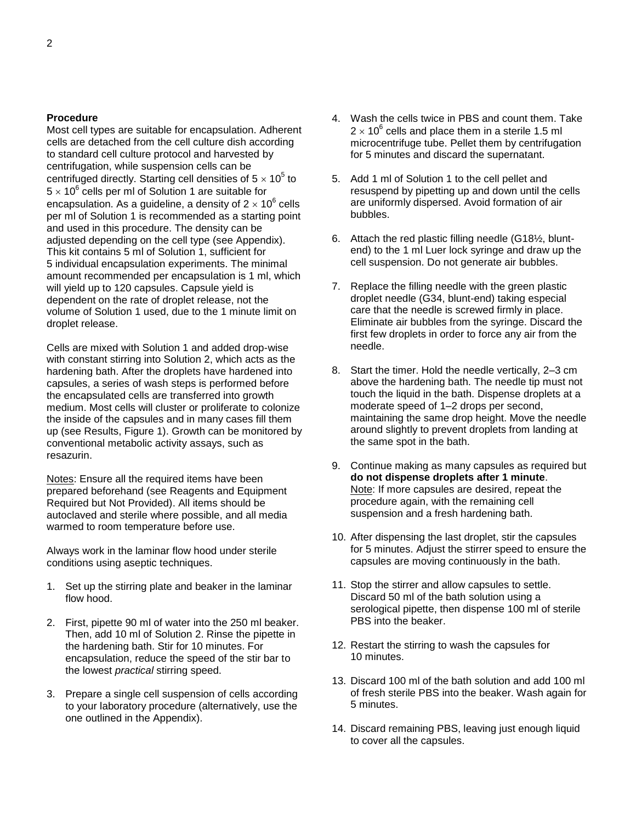#### **Procedure**

Most cell types are suitable for encapsulation. Adherent cells are detached from the cell culture dish according to standard cell culture protocol and harvested by centrifugation, while suspension cells can be centrifuged directly. Starting cell densities of  $5 \times 10^5$  to  $5 \times 10^6$  cells per ml of Solution 1 are suitable for encapsulation. As a guideline, a density of 2  $\times$  10<sup>6</sup> cells per ml of Solution 1 is recommended as a starting point and used in this procedure. The density can be adjusted depending on the cell type (see Appendix). This kit contains 5 ml of Solution 1, sufficient for 5 individual encapsulation experiments. The minimal amount recommended per encapsulation is 1 ml, which will yield up to 120 capsules. Capsule yield is dependent on the rate of droplet release, not the volume of Solution 1 used, due to the 1 minute limit on droplet release.

Cells are mixed with Solution 1 and added drop-wise with constant stirring into Solution 2, which acts as the hardening bath. After the droplets have hardened into capsules, a series of wash steps is performed before the encapsulated cells are transferred into growth medium. Most cells will cluster or proliferate to colonize the inside of the capsules and in many cases fill them up (see Results, Figure 1). Growth can be monitored by conventional metabolic activity assays, such as resazurin.

Notes: Ensure all the required items have been prepared beforehand (see Reagents and Equipment Required but Not Provided). All items should be autoclaved and sterile where possible, and all media warmed to room temperature before use.

Always work in the laminar flow hood under sterile conditions using aseptic techniques.

- 1. Set up the stirring plate and beaker in the laminar flow hood.
- 2. First, pipette 90 ml of water into the 250 ml beaker. Then, add 10 ml of Solution 2. Rinse the pipette in the hardening bath. Stir for 10 minutes. For encapsulation, reduce the speed of the stir bar to the lowest *practical* stirring speed.
- 3. Prepare a single cell suspension of cells according to your laboratory procedure (alternatively, use the one outlined in the Appendix).
- 4. Wash the cells twice in PBS and count them. Take 2  $\times$  10<sup>6</sup> cells and place them in a sterile 1.5 ml microcentrifuge tube. Pellet them by centrifugation for 5 minutes and discard the supernatant.
- 5. Add 1 ml of Solution 1 to the cell pellet and resuspend by pipetting up and down until the cells are uniformly dispersed. Avoid formation of air bubbles.
- 6. Attach the red plastic filling needle (G18½, bluntend) to the 1 ml Luer lock syringe and draw up the cell suspension. Do not generate air bubbles.
- 7. Replace the filling needle with the green plastic droplet needle (G34, blunt-end) taking especial care that the needle is screwed firmly in place. Eliminate air bubbles from the syringe. Discard the first few droplets in order to force any air from the needle.
- 8. Start the timer. Hold the needle vertically, 2–3 cm above the hardening bath. The needle tip must not touch the liquid in the bath. Dispense droplets at a moderate speed of 1–2 drops per second, maintaining the same drop height. Move the needle around slightly to prevent droplets from landing at the same spot in the bath.
- 9. Continue making as many capsules as required but **do not dispense droplets after 1 minute**. Note: If more capsules are desired, repeat the procedure again, with the remaining cell suspension and a fresh hardening bath.
- 10. After dispensing the last droplet, stir the capsules for 5 minutes. Adjust the stirrer speed to ensure the capsules are moving continuously in the bath.
- 11. Stop the stirrer and allow capsules to settle. Discard 50 ml of the bath solution using a serological pipette, then dispense 100 ml of sterile PBS into the beaker.
- 12. Restart the stirring to wash the capsules for 10 minutes.
- 13. Discard 100 ml of the bath solution and add 100 ml of fresh sterile PBS into the beaker. Wash again for 5 minutes.
- 14. Discard remaining PBS, leaving just enough liquid to cover all the capsules.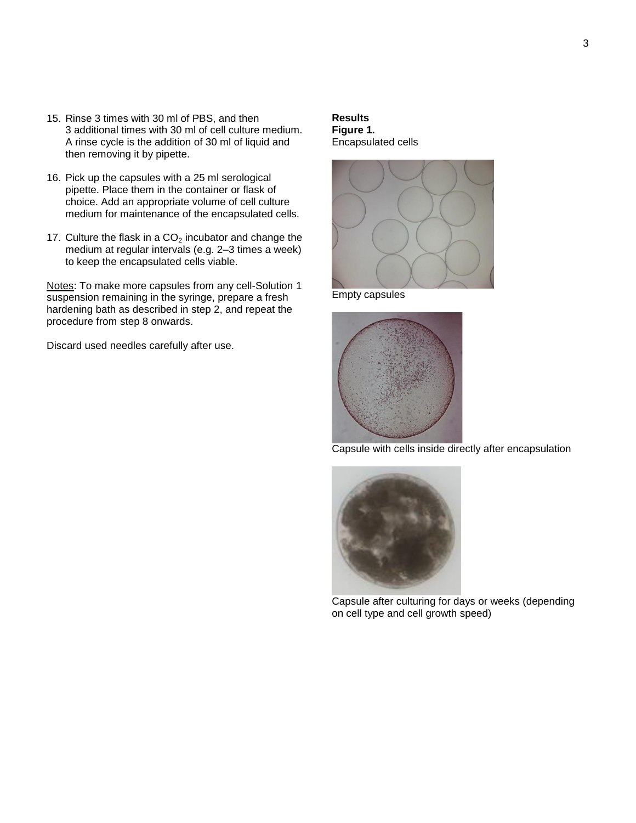- 15. Rinse 3 times with 30 ml of PBS, and then 3 additional times with 30 ml of cell culture medium. A rinse cycle is the addition of 30 ml of liquid and then removing it by pipette.
- 16. Pick up the capsules with a 25 ml serological pipette. Place them in the container or flask of choice. Add an appropriate volume of cell culture medium for maintenance of the encapsulated cells.
- 17. Culture the flask in a  $CO<sub>2</sub>$  incubator and change the medium at regular intervals (e.g. 2–3 times a week) to keep the encapsulated cells viable.

Notes: To make more capsules from any cell-Solution 1 suspension remaining in the syringe, prepare a fresh hardening bath as described in step 2, and repeat the procedure from step 8 onwards.

Discard used needles carefully after use.

#### **Results Figure 1.**  Encapsulated cells



Empty capsules



Capsule with cells inside directly after encapsulation



Capsule after culturing for days or weeks (depending on cell type and cell growth speed)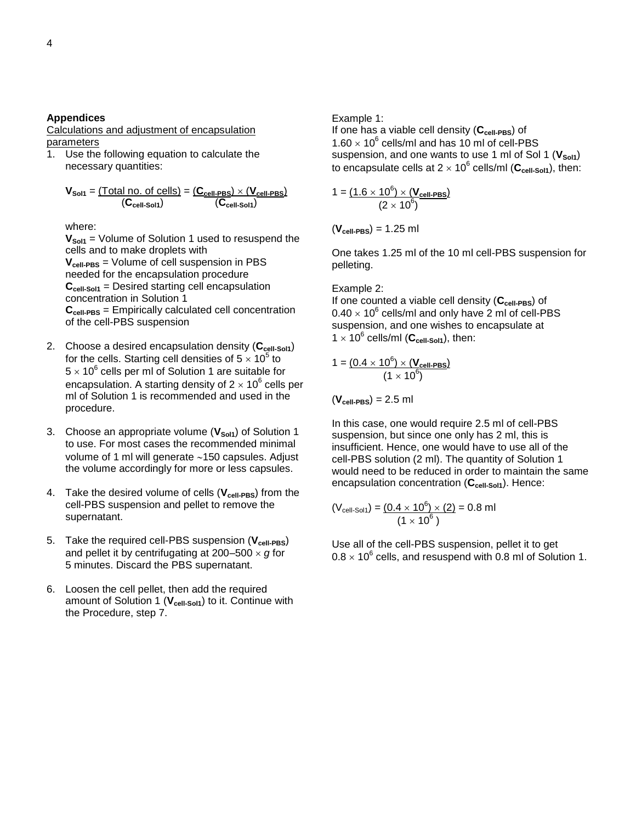#### **Appendices**

Calculations and adjustment of encapsulation parameters

1. Use the following equation to calculate the necessary quantities:

$$
V_{Sol1} = \underbrace{\text{Total no. of cells}}_{\text{(Ccell-Sol1)}} = \underbrace{\text{(C_{cell-PBS})} \times \text{(V_{cell-PBS})}}_{\text{(Ccell-Sol1)}}
$$

where:

**VSol1** = Volume of Solution 1 used to resuspend the cells and to make droplets with **Vcell-PBS** = Volume of cell suspension in PBS needed for the encapsulation procedure **Ccell-Sol1** = Desired starting cell encapsulation concentration in Solution 1 **Ccell-PBS** = Empirically calculated cell concentration of the cell-PBS suspension

- 2. Choose a desired encapsulation density (**Ccell-Sol1**) for the cells. Starting cell densities of 5  $\times$  10<sup>5</sup> to  $5 \times 10^6$  cells per ml of Solution 1 are suitable for encapsulation. A starting density of 2  $\times$  10<sup>6</sup> cells per ml of Solution 1 is recommended and used in the procedure.
- 3. Choose an appropriate volume (**VSol1**) of Solution 1 to use. For most cases the recommended minimal volume of 1 ml will generate  $~150$  capsules. Adjust the volume accordingly for more or less capsules.
- 4. Take the desired volume of cells (**Vcell-PBS**) from the cell-PBS suspension and pellet to remove the supernatant.
- 5. Take the required cell-PBS suspension (**Vcell-PBS**) and pellet it by centrifugating at  $200-500 \times g$  for 5 minutes. Discard the PBS supernatant.
- 6. Loosen the cell pellet, then add the required amount of Solution 1 (**Vcell-Sol1**) to it. Continue with the Procedure, step 7.

Example 1:

If one has a viable cell density (**Ccell-PBS**) of  $1.60 \times 10^6$  cells/ml and has 10 ml of cell-PBS suspension, and one wants to use 1 ml of Sol 1 (V<sub>sol1</sub>) to encapsulate cells at 2  $\times$  10<sup>6</sup> cells/ml (C<sub>cell-Sol1</sub>), then:

$$
1 = \frac{(1.6 \times 10^6) \times (V_{cell-PBS})}{(2 \times 10^6)}
$$

(**Vcell-PBS**) = 1.25 ml

One takes 1.25 ml of the 10 ml cell-PBS suspension for pelleting.

#### Example 2:

If one counted a viable cell density (**Ccell-PBS**) of  $0.40 \times 10^6$  cells/ml and only have 2 ml of cell-PBS suspension, and one wishes to encapsulate at  $1 \times 10^6$  cells/ml ( $C_{\text{cell-Sol1}}$ ), then:

$$
1 = \frac{(0.4 \times 10^6) \times (V_{cell-PBS})}{(1 \times 10^6)}
$$

 $(V_{cell-PBS}) = 2.5$  ml

In this case, one would require 2.5 ml of cell-PBS suspension, but since one only has 2 ml, this is insufficient. Hence, one would have to use all of the cell-PBS solution (2 ml). The quantity of Solution 1 would need to be reduced in order to maintain the same encapsulation concentration (**Ccell-Sol1**). Hence:

$$
(V_{cell-Sol1}) = \frac{(0.4 \times 10^6) \times (2)}{(1 \times 10^6)}
$$
 = 0.8 ml

Use all of the cell-PBS suspension, pellet it to get  $0.8 \times 10^6$  cells, and resuspend with 0.8 ml of Solution 1.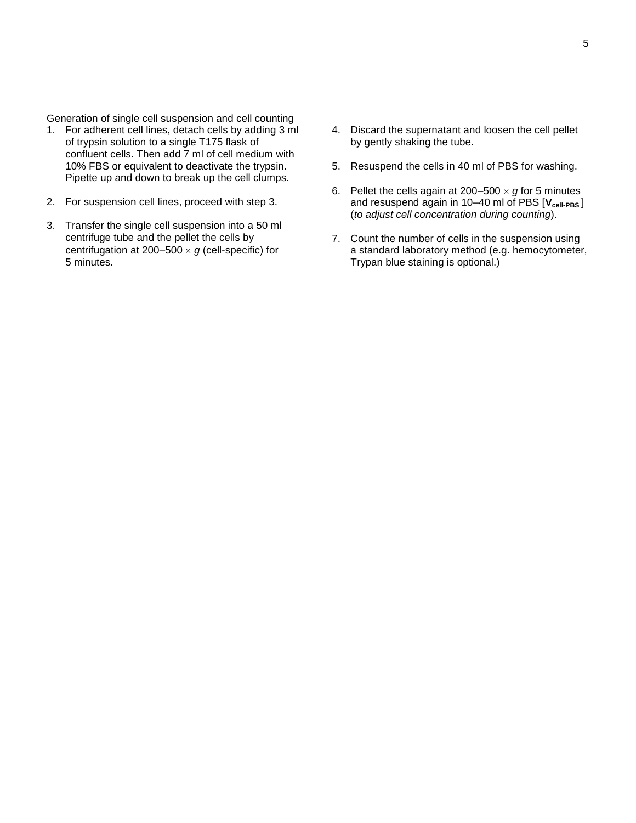Generation of single cell suspension and cell counting

- 1. For adherent cell lines, detach cells by adding 3 ml of trypsin solution to a single T175 flask of confluent cells. Then add 7 ml of cell medium with 10% FBS or equivalent to deactivate the trypsin. Pipette up and down to break up the cell clumps.
- 2. For suspension cell lines, proceed with step 3.
- 3. Transfer the single cell suspension into a 50 ml centrifuge tube and the pellet the cells by centrifugation at 200–500  $\times$  g (cell-specific) for 5 minutes.
- 4. Discard the supernatant and loosen the cell pellet by gently shaking the tube.
- 5. Resuspend the cells in 40 ml of PBS for washing.
- 6. Pellet the cells again at  $200-500 \times g$  for 5 minutes and resuspend again in 10–40 ml of PBS [**Vcell-PBS** ] (*to adjust cell concentration during counting*).
- 7. Count the number of cells in the suspension using a standard laboratory method (e.g. hemocytometer, Trypan blue staining is optional.)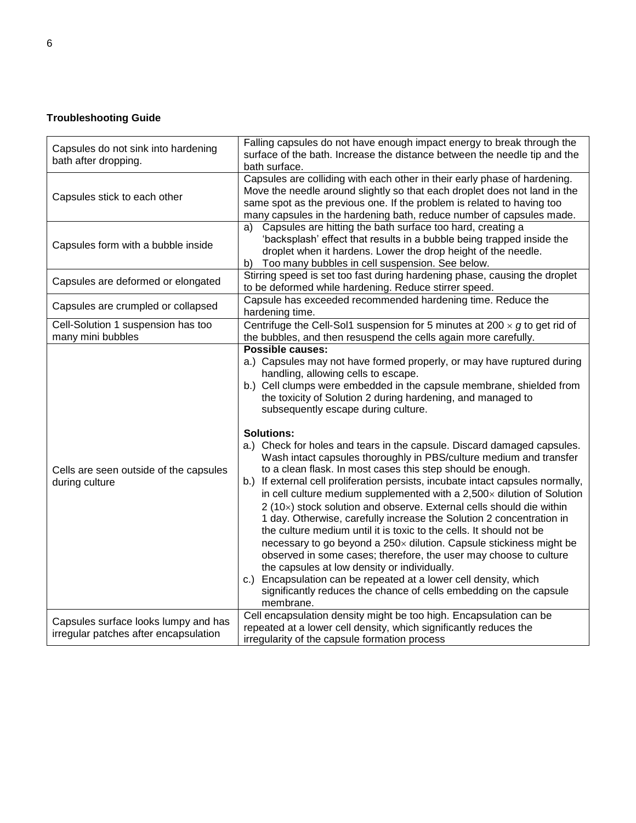## **Troubleshooting Guide**

| Capsules do not sink into hardening<br>bath after dropping.                   | Falling capsules do not have enough impact energy to break through the<br>surface of the bath. Increase the distance between the needle tip and the<br>bath surface.                                                                                                                                                                                                                                                                                                                                                                                                                                                                                                                                                                                                                                                                                                                                                                                                                                                                                                                                                                                                                                                                                                                                         |
|-------------------------------------------------------------------------------|--------------------------------------------------------------------------------------------------------------------------------------------------------------------------------------------------------------------------------------------------------------------------------------------------------------------------------------------------------------------------------------------------------------------------------------------------------------------------------------------------------------------------------------------------------------------------------------------------------------------------------------------------------------------------------------------------------------------------------------------------------------------------------------------------------------------------------------------------------------------------------------------------------------------------------------------------------------------------------------------------------------------------------------------------------------------------------------------------------------------------------------------------------------------------------------------------------------------------------------------------------------------------------------------------------------|
| Capsules stick to each other                                                  | Capsules are colliding with each other in their early phase of hardening.<br>Move the needle around slightly so that each droplet does not land in the<br>same spot as the previous one. If the problem is related to having too<br>many capsules in the hardening bath, reduce number of capsules made.                                                                                                                                                                                                                                                                                                                                                                                                                                                                                                                                                                                                                                                                                                                                                                                                                                                                                                                                                                                                     |
| Capsules form with a bubble inside                                            | Capsules are hitting the bath surface too hard, creating a<br>a)<br>'backsplash' effect that results in a bubble being trapped inside the<br>droplet when it hardens. Lower the drop height of the needle.<br>Too many bubbles in cell suspension. See below.<br>b)                                                                                                                                                                                                                                                                                                                                                                                                                                                                                                                                                                                                                                                                                                                                                                                                                                                                                                                                                                                                                                          |
| Capsules are deformed or elongated                                            | Stirring speed is set too fast during hardening phase, causing the droplet<br>to be deformed while hardening. Reduce stirrer speed.                                                                                                                                                                                                                                                                                                                                                                                                                                                                                                                                                                                                                                                                                                                                                                                                                                                                                                                                                                                                                                                                                                                                                                          |
| Capsules are crumpled or collapsed                                            | Capsule has exceeded recommended hardening time. Reduce the<br>hardening time.                                                                                                                                                                                                                                                                                                                                                                                                                                                                                                                                                                                                                                                                                                                                                                                                                                                                                                                                                                                                                                                                                                                                                                                                                               |
| Cell-Solution 1 suspension has too<br>many mini bubbles                       | Centrifuge the Cell-Sol1 suspension for 5 minutes at 200 $\times$ g to get rid of<br>the bubbles, and then resuspend the cells again more carefully.                                                                                                                                                                                                                                                                                                                                                                                                                                                                                                                                                                                                                                                                                                                                                                                                                                                                                                                                                                                                                                                                                                                                                         |
| Cells are seen outside of the capsules<br>during culture                      | <b>Possible causes:</b><br>a.) Capsules may not have formed properly, or may have ruptured during<br>handling, allowing cells to escape.<br>b.) Cell clumps were embedded in the capsule membrane, shielded from<br>the toxicity of Solution 2 during hardening, and managed to<br>subsequently escape during culture.<br><b>Solutions:</b><br>a.) Check for holes and tears in the capsule. Discard damaged capsules.<br>Wash intact capsules thoroughly in PBS/culture medium and transfer<br>to a clean flask. In most cases this step should be enough.<br>b.) If external cell proliferation persists, incubate intact capsules normally,<br>in cell culture medium supplemented with a $2,500\times$ dilution of Solution<br>$2(10x)$ stock solution and observe. External cells should die within<br>1 day. Otherwise, carefully increase the Solution 2 concentration in<br>the culture medium until it is toxic to the cells. It should not be<br>necessary to go beyond a 250x dilution. Capsule stickiness might be<br>observed in some cases; therefore, the user may choose to culture<br>the capsules at low density or individually.<br>Encapsulation can be repeated at a lower cell density, which<br>C.<br>significantly reduces the chance of cells embedding on the capsule<br>membrane. |
| Capsules surface looks lumpy and has<br>irregular patches after encapsulation | Cell encapsulation density might be too high. Encapsulation can be<br>repeated at a lower cell density, which significantly reduces the<br>irregularity of the capsule formation process                                                                                                                                                                                                                                                                                                                                                                                                                                                                                                                                                                                                                                                                                                                                                                                                                                                                                                                                                                                                                                                                                                                     |